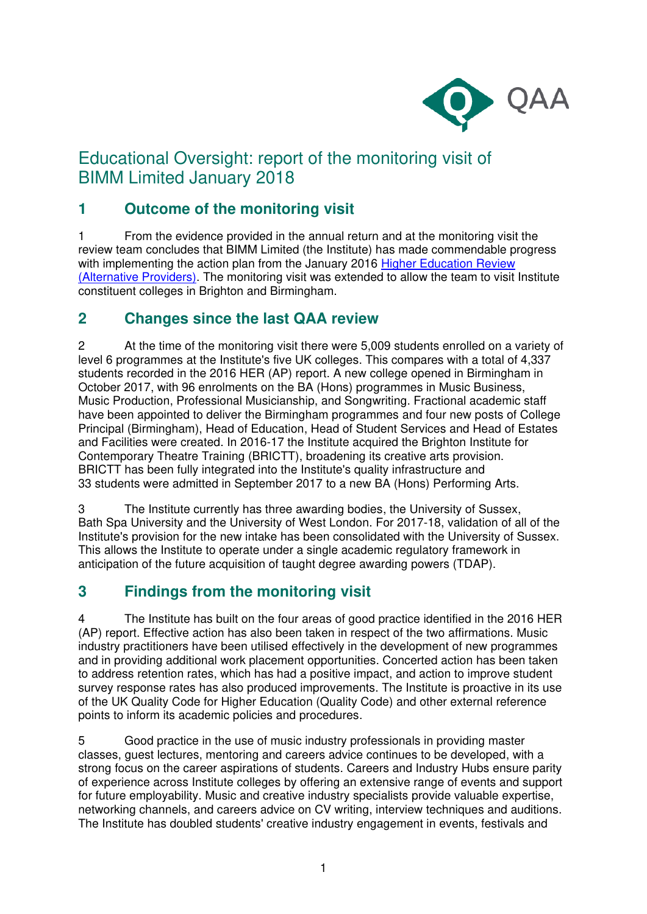

# Educational Oversight: report of the monitoring visit of BIMM Limited January 2018

## **1 Outcome of the monitoring visit**

1 From the evidence provided in the annual return and at the monitoring visit the review team concludes that BIMM Limited (the Institute) has made commendable progress with implementing the action plan from the January 2016 Higher Education Review [\(Alternative Providers\).](http://www.qaa.ac.uk/reviews-and-reports/provider?UKPRN=10037544) The monitoring visit was extended to allow the team to visit Institute constituent colleges in Brighton and Birmingham.

#### **2 Changes since the last QAA review**

2 At the time of the monitoring visit there were 5,009 students enrolled on a variety of level 6 programmes at the Institute's five UK colleges. This compares with a total of 4,337 students recorded in the 2016 HER (AP) report. A new college opened in Birmingham in October 2017, with 96 enrolments on the BA (Hons) programmes in Music Business, Music Production, Professional Musicianship, and Songwriting. Fractional academic staff have been appointed to deliver the Birmingham programmes and four new posts of College Principal (Birmingham), Head of Education, Head of Student Services and Head of Estates and Facilities were created. In 2016-17 the Institute acquired the Brighton Institute for Contemporary Theatre Training (BRICTT), broadening its creative arts provision. BRICTT has been fully integrated into the Institute's quality infrastructure and 33 students were admitted in September 2017 to a new BA (Hons) Performing Arts.

3 The Institute currently has three awarding bodies, the University of Sussex, Bath Spa University and the University of West London. For 2017-18, validation of all of the Institute's provision for the new intake has been consolidated with the University of Sussex. This allows the Institute to operate under a single academic regulatory framework in anticipation of the future acquisition of taught degree awarding powers (TDAP).

### **3 Findings from the monitoring visit**

4 The Institute has built on the four areas of good practice identified in the 2016 HER (AP) report. Effective action has also been taken in respect of the two affirmations. Music industry practitioners have been utilised effectively in the development of new programmes and in providing additional work placement opportunities. Concerted action has been taken to address retention rates, which has had a positive impact, and action to improve student survey response rates has also produced improvements. The Institute is proactive in its use of the UK Quality Code for Higher Education (Quality Code) and other external reference points to inform its academic policies and procedures.

5 Good practice in the use of music industry professionals in providing master classes, guest lectures, mentoring and careers advice continues to be developed, with a strong focus on the career aspirations of students. Careers and Industry Hubs ensure parity of experience across Institute colleges by offering an extensive range of events and support for future employability. Music and creative industry specialists provide valuable expertise, networking channels, and careers advice on CV writing, interview techniques and auditions. The Institute has doubled students' creative industry engagement in events, festivals and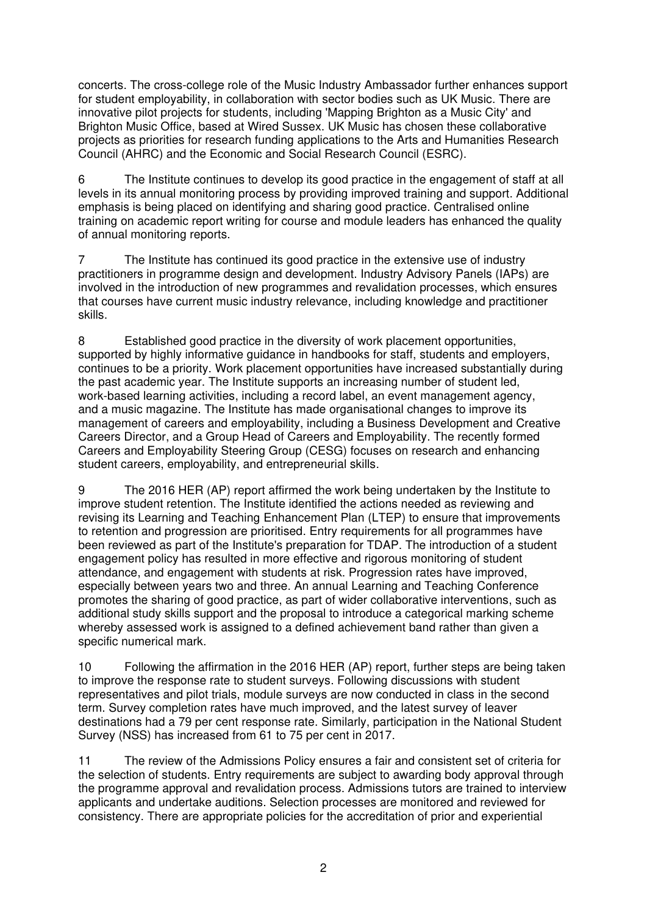concerts. The cross-college role of the Music Industry Ambassador further enhances support for student employability, in collaboration with sector bodies such as UK Music. There are innovative pilot projects for students, including 'Mapping Brighton as a Music City' and Brighton Music Office, based at Wired Sussex. UK Music has chosen these collaborative projects as priorities for research funding applications to the Arts and Humanities Research Council (AHRC) and the Economic and Social Research Council (ESRC).

6 The Institute continues to develop its good practice in the engagement of staff at all levels in its annual monitoring process by providing improved training and support. Additional emphasis is being placed on identifying and sharing good practice. Centralised online training on academic report writing for course and module leaders has enhanced the quality of annual monitoring reports.

7 The Institute has continued its good practice in the extensive use of industry practitioners in programme design and development. Industry Advisory Panels (IAPs) are involved in the introduction of new programmes and revalidation processes, which ensures that courses have current music industry relevance, including knowledge and practitioner skills.

8 Established good practice in the diversity of work placement opportunities, supported by highly informative guidance in handbooks for staff, students and employers, continues to be a priority. Work placement opportunities have increased substantially during the past academic year. The Institute supports an increasing number of student led, work-based learning activities, including a record label, an event management agency, and a music magazine. The Institute has made organisational changes to improve its management of careers and employability, including a Business Development and Creative Careers Director, and a Group Head of Careers and Employability. The recently formed Careers and Employability Steering Group (CESG) focuses on research and enhancing student careers, employability, and entrepreneurial skills.

9 The 2016 HER (AP) report affirmed the work being undertaken by the Institute to improve student retention. The Institute identified the actions needed as reviewing and revising its Learning and Teaching Enhancement Plan (LTEP) to ensure that improvements to retention and progression are prioritised. Entry requirements for all programmes have been reviewed as part of the Institute's preparation for TDAP. The introduction of a student engagement policy has resulted in more effective and rigorous monitoring of student attendance, and engagement with students at risk. Progression rates have improved, especially between years two and three. An annual Learning and Teaching Conference promotes the sharing of good practice, as part of wider collaborative interventions, such as additional study skills support and the proposal to introduce a categorical marking scheme whereby assessed work is assigned to a defined achievement band rather than given a specific numerical mark.

10 Following the affirmation in the 2016 HER (AP) report, further steps are being taken to improve the response rate to student surveys. Following discussions with student representatives and pilot trials, module surveys are now conducted in class in the second term. Survey completion rates have much improved, and the latest survey of leaver destinations had a 79 per cent response rate. Similarly, participation in the National Student Survey (NSS) has increased from 61 to 75 per cent in 2017.

11 The review of the Admissions Policy ensures a fair and consistent set of criteria for the selection of students. Entry requirements are subject to awarding body approval through the programme approval and revalidation process. Admissions tutors are trained to interview applicants and undertake auditions. Selection processes are monitored and reviewed for consistency. There are appropriate policies for the accreditation of prior and experiential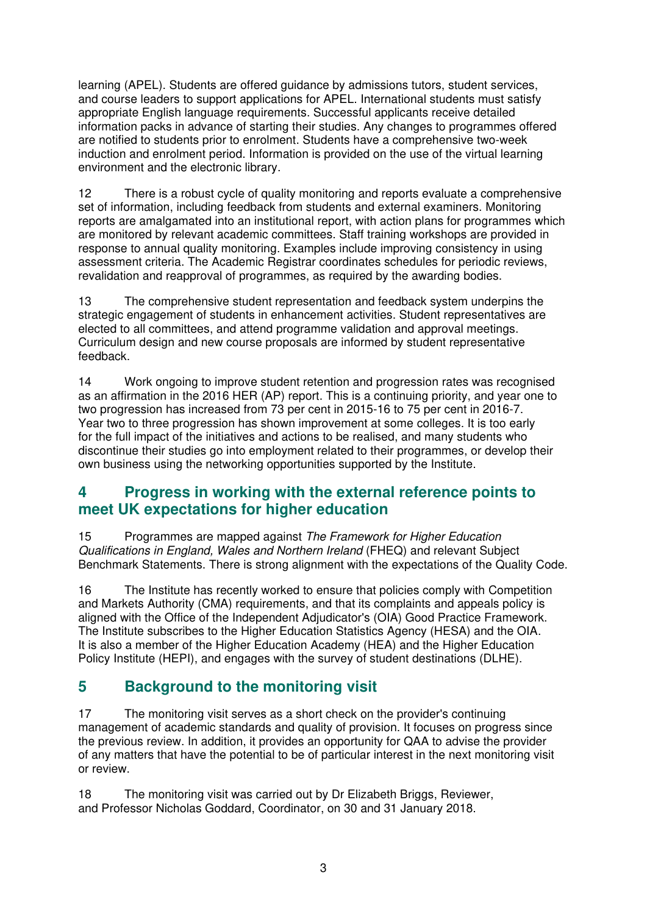learning (APEL). Students are offered guidance by admissions tutors, student services, and course leaders to support applications for APEL. International students must satisfy appropriate English language requirements. Successful applicants receive detailed information packs in advance of starting their studies. Any changes to programmes offered are notified to students prior to enrolment. Students have a comprehensive two-week induction and enrolment period. Information is provided on the use of the virtual learning environment and the electronic library.

12 There is a robust cycle of quality monitoring and reports evaluate a comprehensive set of information, including feedback from students and external examiners. Monitoring reports are amalgamated into an institutional report, with action plans for programmes which are monitored by relevant academic committees. Staff training workshops are provided in response to annual quality monitoring. Examples include improving consistency in using assessment criteria. The Academic Registrar coordinates schedules for periodic reviews, revalidation and reapproval of programmes, as required by the awarding bodies.

13 The comprehensive student representation and feedback system underpins the strategic engagement of students in enhancement activities. Student representatives are elected to all committees, and attend programme validation and approval meetings. Curriculum design and new course proposals are informed by student representative feedback.

14 Work ongoing to improve student retention and progression rates was recognised as an affirmation in the 2016 HER (AP) report. This is a continuing priority, and year one to two progression has increased from 73 per cent in 2015-16 to 75 per cent in 2016-7. Year two to three progression has shown improvement at some colleges. It is too early for the full impact of the initiatives and actions to be realised, and many students who discontinue their studies go into employment related to their programmes, or develop their own business using the networking opportunities supported by the Institute.

#### **4 Progress in working with the external reference points to meet UK expectations for higher education**

15 Programmes are mapped against The Framework for Higher Education Qualifications in England, Wales and Northern Ireland (FHEQ) and relevant Subject Benchmark Statements. There is strong alignment with the expectations of the Quality Code.

16 The Institute has recently worked to ensure that policies comply with Competition and Markets Authority (CMA) requirements, and that its complaints and appeals policy is aligned with the Office of the Independent Adjudicator's (OIA) Good Practice Framework. The Institute subscribes to the Higher Education Statistics Agency (HESA) and the OIA. It is also a member of the Higher Education Academy (HEA) and the Higher Education Policy Institute (HEPI), and engages with the survey of student destinations (DLHE).

### **5 Background to the monitoring visit**

17 The monitoring visit serves as a short check on the provider's continuing management of academic standards and quality of provision. It focuses on progress since the previous review. In addition, it provides an opportunity for QAA to advise the provider of any matters that have the potential to be of particular interest in the next monitoring visit or review.

18 The monitoring visit was carried out by Dr Elizabeth Briggs, Reviewer, and Professor Nicholas Goddard, Coordinator, on 30 and 31 January 2018.